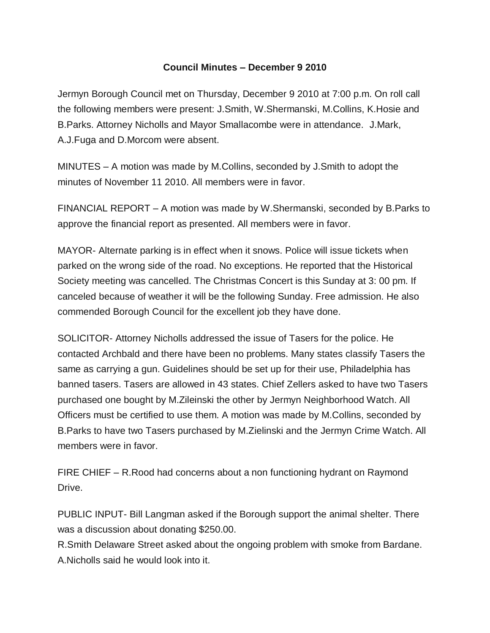## **Council Minutes – December 9 2010**

Jermyn Borough Council met on Thursday, December 9 2010 at 7:00 p.m. On roll call the following members were present: J.Smith, W.Shermanski, M.Collins, K.Hosie and B.Parks. Attorney Nicholls and Mayor Smallacombe were in attendance. J.Mark, A.J.Fuga and D.Morcom were absent.

MINUTES – A motion was made by M.Collins, seconded by J.Smith to adopt the minutes of November 11 2010. All members were in favor.

FINANCIAL REPORT – A motion was made by W.Shermanski, seconded by B.Parks to approve the financial report as presented. All members were in favor.

MAYOR- Alternate parking is in effect when it snows. Police will issue tickets when parked on the wrong side of the road. No exceptions. He reported that the Historical Society meeting was cancelled. The Christmas Concert is this Sunday at 3: 00 pm. If canceled because of weather it will be the following Sunday. Free admission. He also commended Borough Council for the excellent job they have done.

SOLICITOR- Attorney Nicholls addressed the issue of Tasers for the police. He contacted Archbald and there have been no problems. Many states classify Tasers the same as carrying a gun. Guidelines should be set up for their use, Philadelphia has banned tasers. Tasers are allowed in 43 states. Chief Zellers asked to have two Tasers purchased one bought by M.Zileinski the other by Jermyn Neighborhood Watch. All Officers must be certified to use them. A motion was made by M.Collins, seconded by B.Parks to have two Tasers purchased by M.Zielinski and the Jermyn Crime Watch. All members were in favor.

FIRE CHIEF – R.Rood had concerns about a non functioning hydrant on Raymond Drive.

PUBLIC INPUT- Bill Langman asked if the Borough support the animal shelter. There was a discussion about donating \$250.00.

R.Smith Delaware Street asked about the ongoing problem with smoke from Bardane. A.Nicholls said he would look into it.